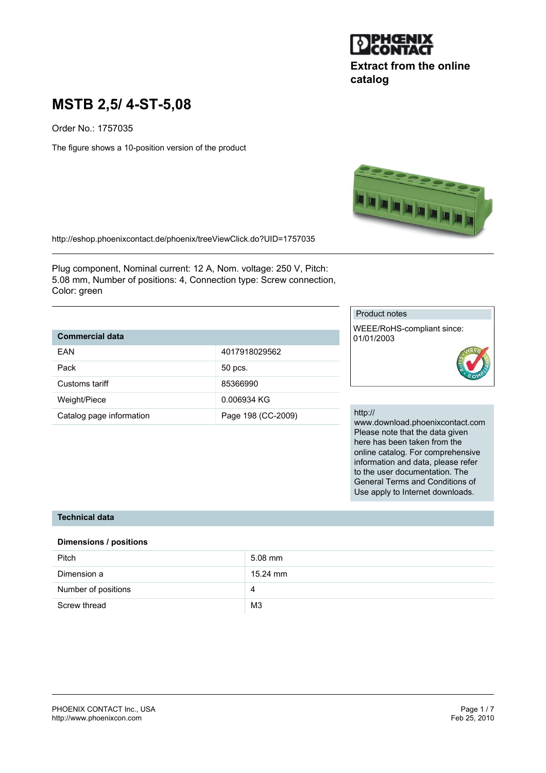

# **Extract from the online catalog**

# **MSTB 2,5/ 4-ST-5,08**

Order No.: 1757035

The figure shows a 10-position version of the product



http://eshop.phoenixcontact.de/phoenix/treeViewClick.do?UID=1757035

Plug component, Nominal current: 12 A, Nom. voltage: 250 V, Pitch: 5.08 mm, Number of positions: 4, Connection type: Screw connection, Color: green

## **Commercial data**

| FAN                      | 4017918029562      |
|--------------------------|--------------------|
| Pack                     | 50 pcs.            |
| Customs tariff           | 85366990           |
| Weight/Piece             | 0.006934 KG        |
| Catalog page information | Page 198 (CC-2009) |

#### Product notes

WEEE/RoHS-compliant since: 01/01/2003



#### http://

www.download.phoenixcontact.com Please note that the data given here has been taken from the online catalog. For comprehensive information and data, please refer to the user documentation. The General Terms and Conditions of Use apply to Internet downloads.

#### **Technical data**

#### **Dimensions / positions**

| Pitch               | $5.08$ mm      |
|---------------------|----------------|
| Dimension a         | 15.24 mm       |
| Number of positions | 4              |
| Screw thread        | M <sub>3</sub> |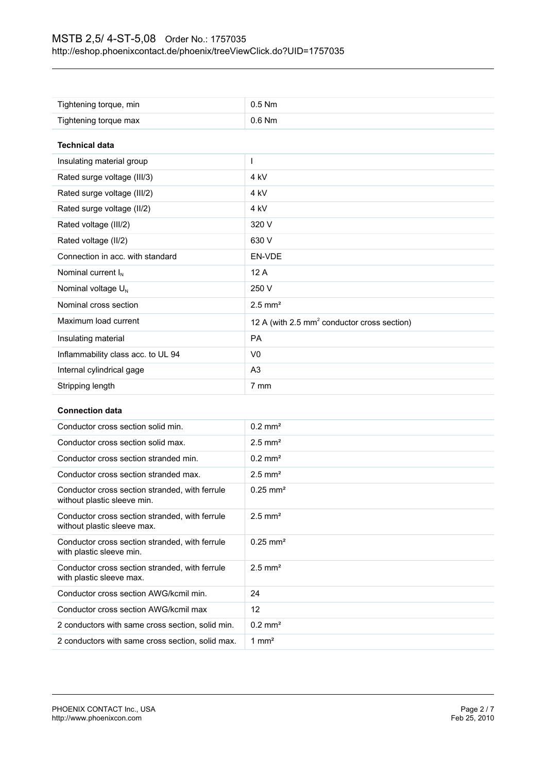| Tightening torque, min             | $0.5$ Nm                                                |  |
|------------------------------------|---------------------------------------------------------|--|
| Tightening torque max              | $0.6$ Nm                                                |  |
| <b>Technical data</b>              |                                                         |  |
| Insulating material group          |                                                         |  |
| Rated surge voltage (III/3)        | 4 kV                                                    |  |
| Rated surge voltage (III/2)        | 4 <sub>kV</sub>                                         |  |
| Rated surge voltage (II/2)         | 4 kV                                                    |  |
| Rated voltage (III/2)              | 320 V                                                   |  |
| Rated voltage (II/2)               | 630 V                                                   |  |
| Connection in acc. with standard   | EN-VDE                                                  |  |
| Nominal current $I_N$              | 12A                                                     |  |
| Nominal voltage $U_{N}$            | 250 V                                                   |  |
| Nominal cross section              | $2.5$ mm <sup>2</sup>                                   |  |
| Maximum load current               | 12 A (with 2.5 mm <sup>2</sup> conductor cross section) |  |
| Insulating material                | <b>PA</b>                                               |  |
| Inflammability class acc. to UL 94 | V <sub>0</sub>                                          |  |
| Internal cylindrical gage          | A <sub>3</sub>                                          |  |
| Stripping length                   | 7 mm                                                    |  |

#### **Connection data**

| Conductor cross section solid min.                                            | $0.2$ mm <sup>2</sup> |
|-------------------------------------------------------------------------------|-----------------------|
| Conductor cross section solid max.                                            | $2.5$ mm <sup>2</sup> |
| Conductor cross section stranded min.                                         | $0.2$ mm <sup>2</sup> |
| Conductor cross section stranded max.                                         | $2.5$ mm <sup>2</sup> |
| Conductor cross section stranded, with ferrule<br>without plastic sleeve min. | $0.25 \text{ mm}^2$   |
| Conductor cross section stranded, with ferrule<br>without plastic sleeve max. | $2.5$ mm <sup>2</sup> |
| Conductor cross section stranded, with ferrule<br>with plastic sleeve min.    | $0.25 \text{ mm}^2$   |
| Conductor cross section stranded, with ferrule<br>with plastic sleeve max.    | $2.5$ mm <sup>2</sup> |
| Conductor cross section AWG/kcmil min.                                        | 24                    |
| Conductor cross section AWG/kcmil max                                         | 12                    |
| 2 conductors with same cross section, solid min.                              | $0.2$ mm <sup>2</sup> |
| 2 conductors with same cross section, solid max.                              | 1 mm <sup>2</sup>     |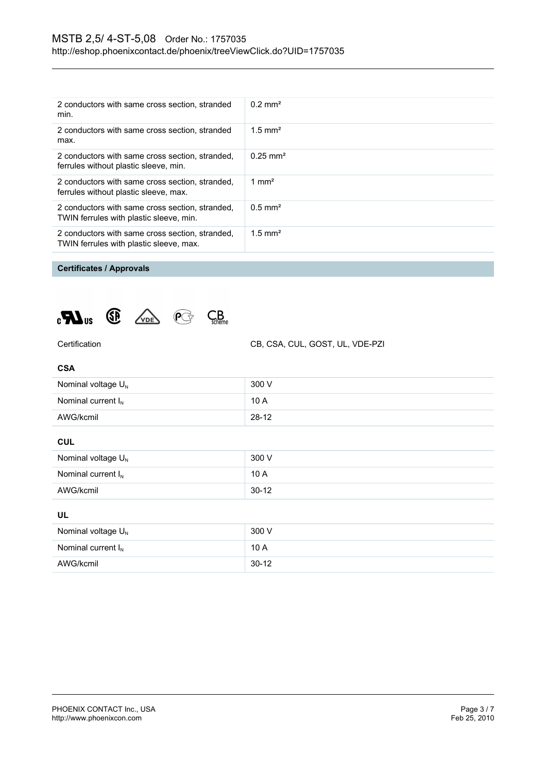| 2 conductors with same cross section, stranded<br>min.                                     | $0.2 \text{ mm}^2$    |
|--------------------------------------------------------------------------------------------|-----------------------|
| 2 conductors with same cross section, stranded<br>max.                                     | $1.5$ mm <sup>2</sup> |
| 2 conductors with same cross section, stranded,<br>ferrules without plastic sleeve, min.   | $0.25 \text{ mm}^2$   |
| 2 conductors with same cross section, stranded,<br>ferrules without plastic sleeve, max.   | 1 mm <sup>2</sup>     |
| 2 conductors with same cross section, stranded,<br>TWIN ferrules with plastic sleeve, min. | $0.5$ mm <sup>2</sup> |
| 2 conductors with same cross section, stranded,<br>TWIN ferrules with plastic sleeve, max. | $1.5$ mm <sup>2</sup> |

## **Certificates / Approvals**





Certification CB, CSA, CUL, GOST, UL, VDE-PZI

| <b>CSA</b>              |         |
|-------------------------|---------|
| Nominal voltage $U_N$   | 300 V   |
| Nominal current $I_{N}$ | 10A     |
| AWG/kcmil               | $28-12$ |

**CUL**

| Nominal voltage $U_{N}$ | 300 V   |
|-------------------------|---------|
| Nominal current $I_N$   | 10A     |
| AWG/kcmil               | $30-12$ |

#### **UL**

| Nominal voltage $U_N$   | 300 V   |
|-------------------------|---------|
| Nominal current $I_{N}$ | 10A     |
| AWG/kcmil               | $30-12$ |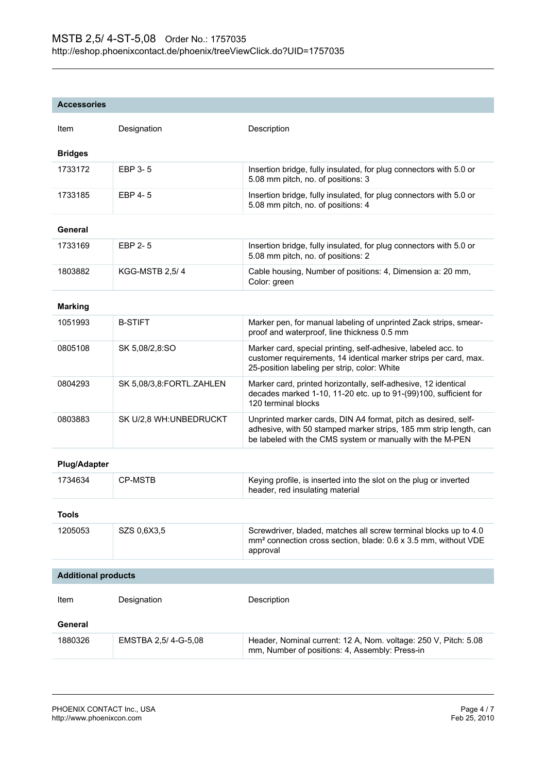#### **Accessories**

| Item                       | Designation              | Description                                                                                                                                                                                      |  |
|----------------------------|--------------------------|--------------------------------------------------------------------------------------------------------------------------------------------------------------------------------------------------|--|
| <b>Bridges</b>             |                          |                                                                                                                                                                                                  |  |
| 1733172                    | EBP 3-5                  | Insertion bridge, fully insulated, for plug connectors with 5.0 or<br>5.08 mm pitch, no. of positions: 3                                                                                         |  |
| 1733185                    | EBP 4-5                  | Insertion bridge, fully insulated, for plug connectors with 5.0 or<br>5.08 mm pitch, no. of positions: 4                                                                                         |  |
| General                    |                          |                                                                                                                                                                                                  |  |
| 1733169                    | EBP 2-5                  | Insertion bridge, fully insulated, for plug connectors with 5.0 or<br>5.08 mm pitch, no. of positions: 2                                                                                         |  |
| 1803882                    | KGG-MSTB 2,5/4           | Cable housing, Number of positions: 4, Dimension a: 20 mm,<br>Color: green                                                                                                                       |  |
| <b>Marking</b>             |                          |                                                                                                                                                                                                  |  |
| 1051993                    | <b>B-STIFT</b>           | Marker pen, for manual labeling of unprinted Zack strips, smear-<br>proof and waterproof, line thickness 0.5 mm                                                                                  |  |
| 0805108                    | SK 5,08/2,8:SO           | Marker card, special printing, self-adhesive, labeled acc. to<br>customer requirements, 14 identical marker strips per card, max.<br>25-position labeling per strip, color: White                |  |
| 0804293                    | SK 5,08/3,8:FORTL.ZAHLEN | Marker card, printed horizontally, self-adhesive, 12 identical<br>decades marked 1-10, 11-20 etc. up to 91-(99)100, sufficient for<br>120 terminal blocks                                        |  |
| 0803883                    | SK U/2,8 WH: UNBEDRUCKT  | Unprinted marker cards, DIN A4 format, pitch as desired, self-<br>adhesive, with 50 stamped marker strips, 185 mm strip length, can<br>be labeled with the CMS system or manually with the M-PEN |  |
| <b>Plug/Adapter</b>        |                          |                                                                                                                                                                                                  |  |
| 1734634                    | <b>CP-MSTB</b>           | Keying profile, is inserted into the slot on the plug or inverted<br>header, red insulating material                                                                                             |  |
| <b>Tools</b>               |                          |                                                                                                                                                                                                  |  |
| 1205053                    | SZS 0,6X3,5              | Screwdriver, bladed, matches all screw terminal blocks up to 4.0<br>mm <sup>2</sup> connection cross section, blade: 0.6 x 3.5 mm, without VDE<br>approval                                       |  |
| <b>Additional products</b> |                          |                                                                                                                                                                                                  |  |
|                            |                          |                                                                                                                                                                                                  |  |
| Item                       | Designation              | Description                                                                                                                                                                                      |  |
| General                    |                          |                                                                                                                                                                                                  |  |
| 1880326                    | EMSTBA 2,5/4-G-5,08      | Header, Nominal current: 12 A, Nom. voltage: 250 V, Pitch: 5.08<br>mm, Number of positions: 4, Assembly: Press-in                                                                                |  |
|                            |                          |                                                                                                                                                                                                  |  |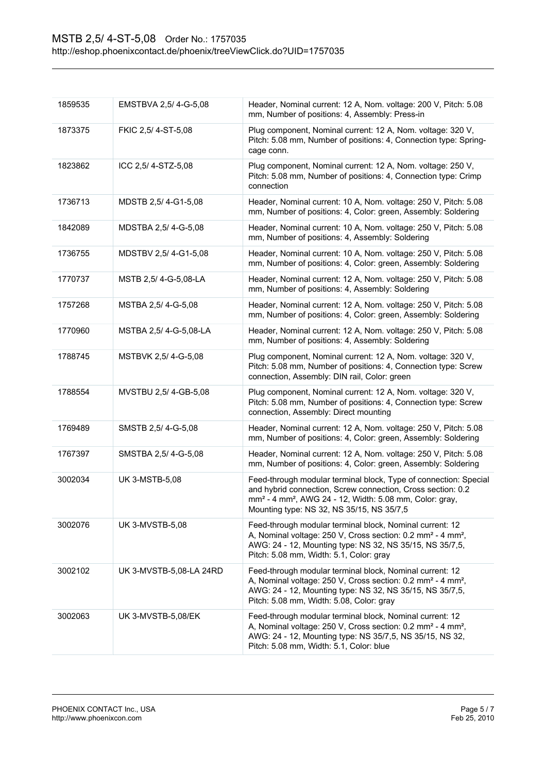| 1859535 | EMSTBVA 2,5/4-G-5,08    | Header, Nominal current: 12 A, Nom. voltage: 200 V, Pitch: 5.08<br>mm, Number of positions: 4, Assembly: Press-in                                                                                                                                               |
|---------|-------------------------|-----------------------------------------------------------------------------------------------------------------------------------------------------------------------------------------------------------------------------------------------------------------|
| 1873375 | FKIC 2,5/4-ST-5,08      | Plug component, Nominal current: 12 A, Nom. voltage: 320 V,<br>Pitch: 5.08 mm, Number of positions: 4, Connection type: Spring-<br>cage conn.                                                                                                                   |
| 1823862 | ICC 2,5/4-STZ-5,08      | Plug component, Nominal current: 12 A, Nom. voltage: 250 V,<br>Pitch: 5.08 mm, Number of positions: 4, Connection type: Crimp<br>connection                                                                                                                     |
| 1736713 | MDSTB 2,5/4-G1-5,08     | Header, Nominal current: 10 A, Nom. voltage: 250 V, Pitch: 5.08<br>mm, Number of positions: 4, Color: green, Assembly: Soldering                                                                                                                                |
| 1842089 | MDSTBA 2,5/4-G-5,08     | Header, Nominal current: 10 A, Nom. voltage: 250 V, Pitch: 5.08<br>mm, Number of positions: 4, Assembly: Soldering                                                                                                                                              |
| 1736755 | MDSTBV 2,5/4-G1-5,08    | Header, Nominal current: 10 A, Nom. voltage: 250 V, Pitch: 5.08<br>mm, Number of positions: 4, Color: green, Assembly: Soldering                                                                                                                                |
| 1770737 | MSTB 2,5/4-G-5,08-LA    | Header, Nominal current: 12 A, Nom. voltage: 250 V, Pitch: 5.08<br>mm, Number of positions: 4, Assembly: Soldering                                                                                                                                              |
| 1757268 | MSTBA 2,5/4-G-5,08      | Header, Nominal current: 12 A, Nom. voltage: 250 V, Pitch: 5.08<br>mm, Number of positions: 4, Color: green, Assembly: Soldering                                                                                                                                |
| 1770960 | MSTBA 2,5/4-G-5,08-LA   | Header, Nominal current: 12 A, Nom. voltage: 250 V, Pitch: 5.08<br>mm, Number of positions: 4, Assembly: Soldering                                                                                                                                              |
| 1788745 | MSTBVK 2,5/4-G-5,08     | Plug component, Nominal current: 12 A, Nom. voltage: 320 V,<br>Pitch: 5.08 mm, Number of positions: 4, Connection type: Screw<br>connection, Assembly: DIN rail, Color: green                                                                                   |
| 1788554 | MVSTBU 2,5/4-GB-5,08    | Plug component, Nominal current: 12 A, Nom. voltage: 320 V,<br>Pitch: 5.08 mm, Number of positions: 4, Connection type: Screw<br>connection, Assembly: Direct mounting                                                                                          |
| 1769489 | SMSTB 2,5/4-G-5,08      | Header, Nominal current: 12 A, Nom. voltage: 250 V, Pitch: 5.08<br>mm, Number of positions: 4, Color: green, Assembly: Soldering                                                                                                                                |
| 1767397 | SMSTBA 2,5/4-G-5,08     | Header, Nominal current: 12 A, Nom. voltage: 250 V, Pitch: 5.08<br>mm, Number of positions: 4, Color: green, Assembly: Soldering                                                                                                                                |
| 3002034 | <b>UK 3-MSTB-5,08</b>   | Feed-through modular terminal block, Type of connection: Special<br>and hybrid connection, Screw connection, Cross section: 0.2<br>mm <sup>2</sup> - 4 mm <sup>2</sup> , AWG 24 - 12, Width: 5.08 mm, Color: gray,<br>Mounting type: NS 32, NS 35/15, NS 35/7,5 |
| 3002076 | <b>UK 3-MVSTB-5,08</b>  | Feed-through modular terminal block, Nominal current: 12<br>A, Nominal voltage: 250 V, Cross section: 0.2 mm <sup>2</sup> - 4 mm <sup>2</sup> ,<br>AWG: 24 - 12, Mounting type: NS 32, NS 35/15, NS 35/7,5,<br>Pitch: 5.08 mm, Width: 5.1, Color: gray          |
| 3002102 | UK 3-MVSTB-5,08-LA 24RD | Feed-through modular terminal block, Nominal current: 12<br>A, Nominal voltage: 250 V, Cross section: 0.2 mm <sup>2</sup> - 4 mm <sup>2</sup> ,<br>AWG: 24 - 12, Mounting type: NS 32, NS 35/15, NS 35/7,5,<br>Pitch: 5.08 mm, Width: 5.08, Color: gray         |
| 3002063 | UK 3-MVSTB-5,08/EK      | Feed-through modular terminal block, Nominal current: 12<br>A, Nominal voltage: 250 V, Cross section: 0.2 mm <sup>2</sup> - 4 mm <sup>2</sup> ,<br>AWG: 24 - 12, Mounting type: NS 35/7,5, NS 35/15, NS 32,<br>Pitch: 5.08 mm, Width: 5.1, Color: blue          |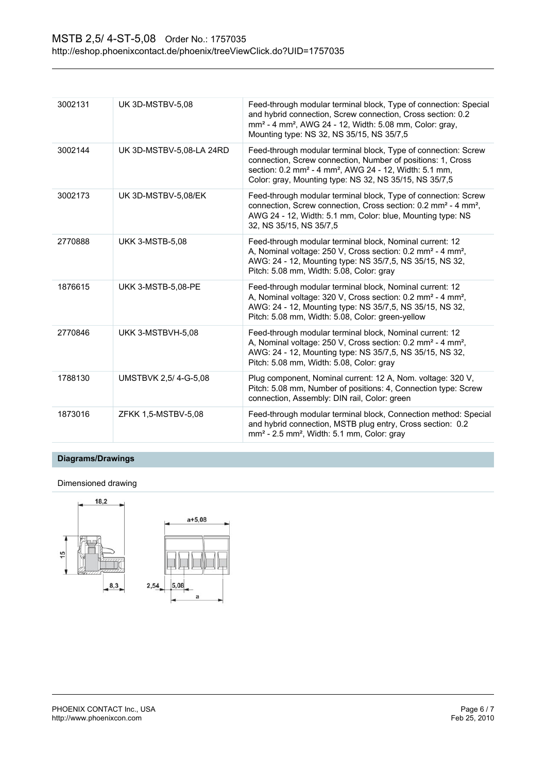| 3002131 | UK 3D-MSTBV-5,08         | Feed-through modular terminal block, Type of connection: Special<br>and hybrid connection, Screw connection, Cross section: 0.2<br>mm <sup>2</sup> - 4 mm <sup>2</sup> , AWG 24 - 12, Width: 5.08 mm, Color: gray,<br>Mounting type: NS 32, NS 35/15, NS 35/7,5           |
|---------|--------------------------|---------------------------------------------------------------------------------------------------------------------------------------------------------------------------------------------------------------------------------------------------------------------------|
| 3002144 | UK 3D-MSTBV-5,08-LA 24RD | Feed-through modular terminal block, Type of connection: Screw<br>connection, Screw connection, Number of positions: 1, Cross<br>section: 0.2 mm <sup>2</sup> - 4 mm <sup>2</sup> , AWG 24 - 12, Width: 5.1 mm,<br>Color: gray, Mounting type: NS 32, NS 35/15, NS 35/7,5 |
| 3002173 | UK 3D-MSTBV-5,08/EK      | Feed-through modular terminal block, Type of connection: Screw<br>connection, Screw connection, Cross section: 0.2 mm <sup>2</sup> - 4 mm <sup>2</sup> ,<br>AWG 24 - 12, Width: 5.1 mm, Color: blue, Mounting type: NS<br>32, NS 35/15, NS 35/7,5                         |
| 2770888 | <b>UKK 3-MSTB-5,08</b>   | Feed-through modular terminal block, Nominal current: 12<br>A, Nominal voltage: 250 V, Cross section: 0.2 mm <sup>2</sup> - 4 mm <sup>2</sup> ,<br>AWG: 24 - 12, Mounting type: NS 35/7,5, NS 35/15, NS 32,<br>Pitch: 5.08 mm, Width: 5.08, Color: gray                   |
| 1876615 | UKK 3-MSTB-5,08-PE       | Feed-through modular terminal block, Nominal current: 12<br>A, Nominal voltage: 320 V, Cross section: 0.2 mm <sup>2</sup> - 4 mm <sup>2</sup> ,<br>AWG: 24 - 12, Mounting type: NS 35/7,5, NS 35/15, NS 32,<br>Pitch: 5.08 mm, Width: 5.08, Color: green-yellow           |
| 2770846 | UKK 3-MSTBVH-5,08        | Feed-through modular terminal block, Nominal current: 12<br>A, Nominal voltage: 250 V, Cross section: 0.2 mm <sup>2</sup> - 4 mm <sup>2</sup> ,<br>AWG: 24 - 12, Mounting type: NS 35/7,5, NS 35/15, NS 32,<br>Pitch: 5.08 mm, Width: 5.08, Color: gray                   |
| 1788130 | UMSTBVK 2,5/4-G-5,08     | Plug component, Nominal current: 12 A, Nom. voltage: 320 V,<br>Pitch: 5.08 mm, Number of positions: 4, Connection type: Screw<br>connection, Assembly: DIN rail, Color: green                                                                                             |
| 1873016 | ZFKK 1,5-MSTBV-5,08      | Feed-through modular terminal block, Connection method: Special<br>and hybrid connection, MSTB plug entry, Cross section: 0.2<br>$mm2$ - 2.5 mm <sup>2</sup> , Width: 5.1 mm, Color: gray                                                                                 |

## **Diagrams/Drawings**

Dimensioned drawing